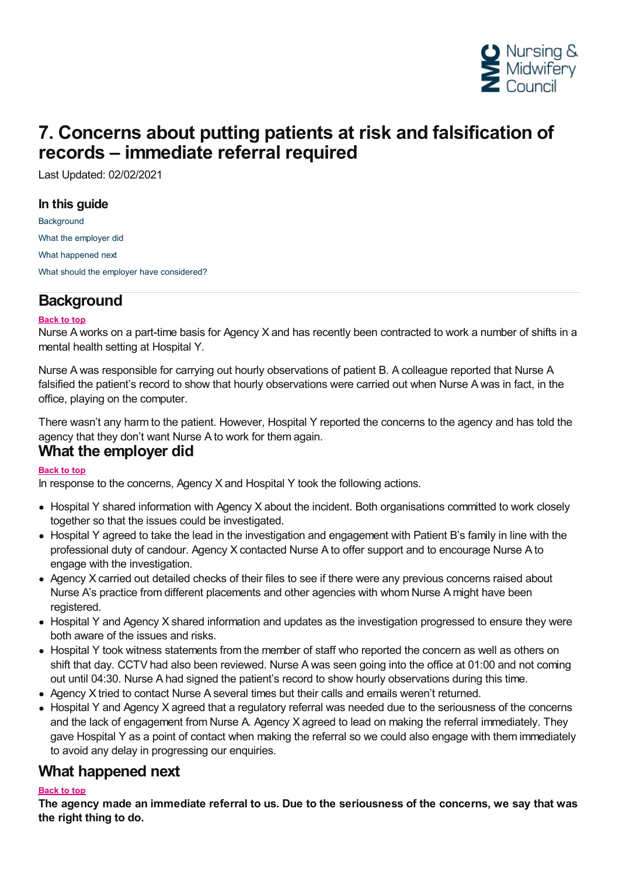

# **7. Concerns about putting patients at risk and falsification of records – immediate referral required**

Last Updated: 02/02/2021

#### **In this guide**

**[Background](#page-0-0)** What the [employer](#page-0-1) did What [happened](#page-0-2) next What should the employer have [considered?](#page-1-0)

## <span id="page-0-0"></span>**Background**

#### **Back to top**

Nurse A works on a part-time basis for Agency X and has recently been contracted to work a number of shifts in a mental health setting at Hospital Y.

Nurse A was responsible for carrying out hourly observations of patient B. A colleague reported that Nurse A falsified the patient's record to show that hourly observations were carried out when Nurse A was in fact, in the office, playing on the computer.

There wasn't any harm to the patient. However, Hospital Y reported the concerns to the agency and has told the agency that they don't want Nurse <sup>A</sup> to work for them again. **What the employer did**

#### <span id="page-0-1"></span>**Back to top**

In response to the concerns, Agency X and Hospital Y took the following actions.

- Hospital Y shared information with Agency X about the incident. Both organisations committed to work closely together so that the issues could be investigated.
- Hospital Y agreed to take the lead in the investigation and engagement with Patient B's family in line with the professional duty of candour. Agency X contacted Nurse A to offer support and to encourage Nurse A to engage with the investigation.
- Agency X carried out detailed checks of their files to see if there were any previous concerns raised about Nurse A's practice from different placements and other agencies with whom Nurse A might have been registered.
- Hospital Y and Agency X shared information and updates as the investigation progressed to ensure they were both aware of the issues and risks.
- Hospital Y took witness statements from the member of staff who reported the concern as well as others on shift that day. CCTV had also been reviewed. Nurse A was seen going into the office at 01:00 and not coming out until 04:30. Nurse A had signed the patient's record to show hourly observations during this time.
- Agency X tried to contact Nurse A several times but their calls and emails weren't returned.
- Hospital Y and Agency X agreed that a regulatory referral was needed due to the seriousness of the concerns and the lack of engagement from Nurse A. Agency X agreed to lead on making the referral immediately. They gave Hospital Y as a point of contact when making the referral so we could also engage with them immediately to avoid any delay in progressing our enquiries.

### <span id="page-0-2"></span>**What happened next**

#### **Back to top**

The agency made an immediate referral to us. Due to the seriousness of the concerns, we say that was **the right thing to do.**